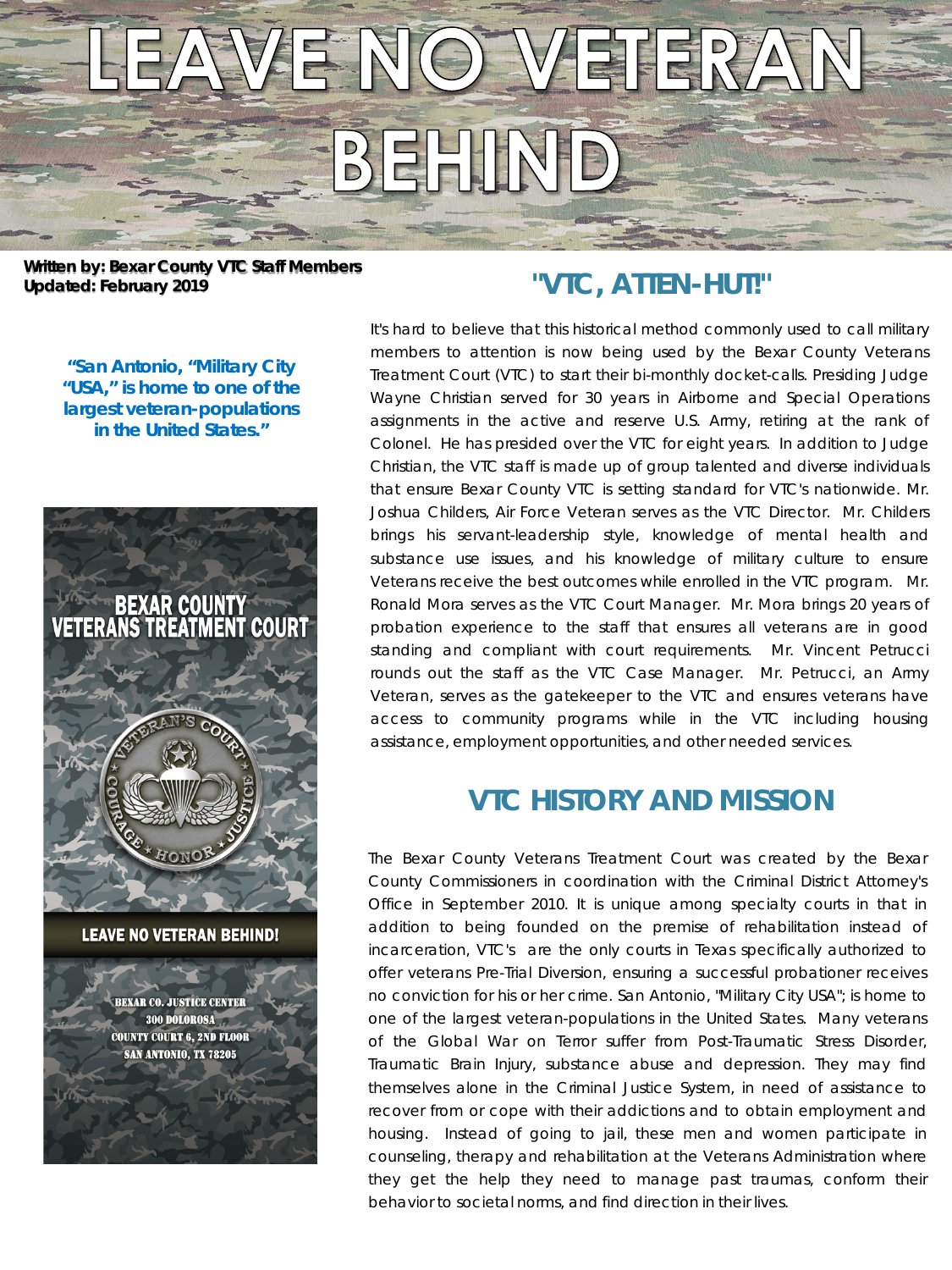

**Written by: Bexar County VTC Staff Members Updated: February 2019 "VTC, ATTEN-HUT!"**

*"San Antonio, "Military City "USA," is home to one of the largest veteran-populations in the United States."*



**EXAR CO. JUSTICE CENTER** 300 DOLOROSA **COUNTY COURT 6, 2ND FLOOR SAN ANTONIO, TX 78205** 

It's hard to believe that this historical method commonly used to call military members to attention is now being used by the Bexar County Veterans Treatment Court (VTC) to start their bi-monthly docket-calls. Presiding Judge Wayne Christian served for 30 years in Airborne and Special Operations assignments in the active and reserve U.S. Army, retiring at the rank of Colonel. He has presided over the VTC for eight years. In addition to Judge Christian, the VTC staff is made up of group talented and diverse individuals that ensure Bexar County VTC is setting standard for VTC's nationwide. Mr. Joshua Childers, Air Force Veteran serves as the VTC Director. Mr. Childers brings his servant-leadership style, knowledge of mental health and substance use issues, and his knowledge of military culture to ensure Veterans receive the best outcomes while enrolled in the VTC program. Mr. Ronald Mora serves as the VTC Court Manager. Mr. Mora brings 20 years of probation experience to the staff that ensures all veterans are in good standing and compliant with court requirements. Mr. Vincent Petrucci rounds out the staff as the VTC Case Manager. Mr. Petrucci, an Army Veteran, serves as the gatekeeper to the VTC and ensures veterans have access to community programs while in the VTC including housing assistance, employment opportunities, and other needed services.

# **VTC HISTORY AND MISSION**

The Bexar County Veterans Treatment Court was created by the Bexar County Commissioners in coordination with the Criminal District Attorney's Office in September 2010. It is unique among specialty courts in that in addition to being founded on the premise of rehabilitation instead of incarceration, VTC's are the only courts in Texas specifically authorized to offer veterans Pre-Trial Diversion, ensuring a successful probationer receives no conviction for his or her crime. San Antonio, "Military City USA"; is home to one of the largest veteran-populations in the United States. Many veterans of the Global War on Terror suffer from Post-Traumatic Stress Disorder, Traumatic Brain Injury, substance abuse and depression. They may find themselves alone in the Criminal Justice System, in need of assistance to recover from or cope with their addictions and to obtain employment and housing. Instead of going to jail, these men and women participate in counseling, therapy and rehabilitation at the Veterans Administration where they get the help they need to manage past traumas, conform their behavior to societal norms, and find direction in their lives.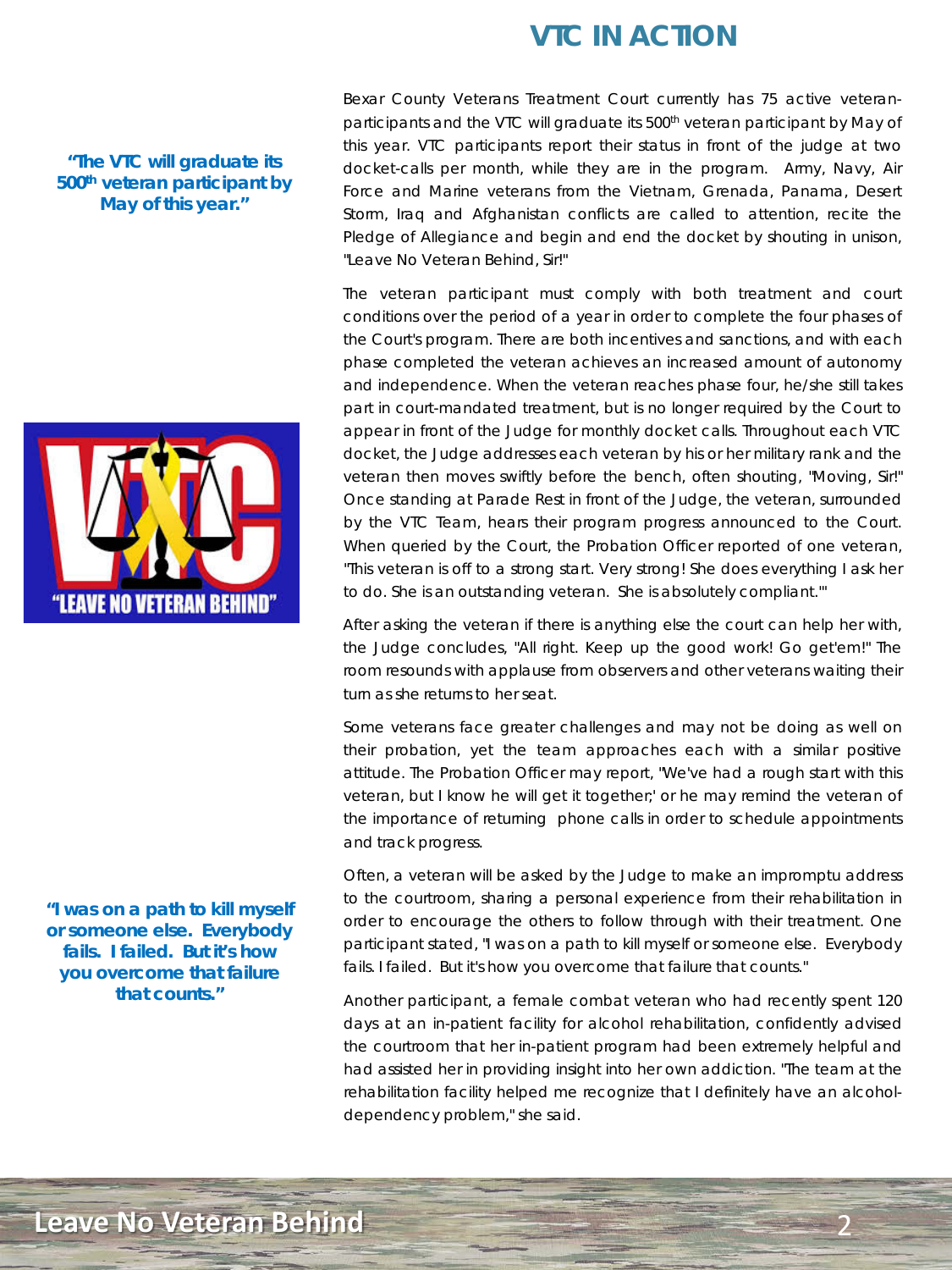# **VTC IN ACTION**

### *"The VTC will graduate its 500th veteran participant by May of this year."*



*"I was on a path to kill myself or someone else. Everybody fails. I failed. But it's how you overcome that failure that counts."*

Bexar County Veterans Treatment Court currently has 75 active veteranparticipants and the VTC will graduate its 500<sup>th</sup> veteran participant by May of this year. VTC participants report their status in front of the judge at two docket-calls per month, while they are in the program. Army, Navy, Air Force and Marine veterans from the Vietnam, Grenada, Panama, Desert Storm, Iraq and Afghanistan conflicts are called to attention, recite the Pledge of Allegiance and begin and end the docket by shouting in unison, "Leave No Veteran Behind, Sir!"

The veteran participant must comply with both treatment and court conditions over the period of a year in order to complete the four phases of the Court's program. There are both incentives and sanctions, and with each phase completed the veteran achieves an increased amount of autonomy and independence. When the veteran reaches phase four, he/she still takes part in court-mandated treatment, but is no longer required by the Court to appear in front of the Judge for monthly docket calls. Throughout each VTC docket, the Judge addresses each veteran by his or her military rank and the veteran then moves swiftly before the bench, often shouting, "Moving, Sir!" Once standing at Parade Rest in front of the Judge, the veteran, surrounded by the VTC Team, hears their program progress announced to the Court. When queried by the Court, the Probation Officer reported of one veteran, "This veteran is off to a strong start. Very strong! She does everything I ask her to do. She is an outstanding veteran. She is absolutely compliant.'"

After asking the veteran if there is anything else the court can help her with, the Judge concludes, "All right. Keep up the good work! Go get'em!" The room resounds with applause from observers and other veterans waiting their turn as she returns to her seat.

Some veterans face greater challenges and may not be doing as well on their probation, yet the team approaches each with a similar positive attitude. The Probation Officer may report, "We've had a rough start with this veteran, but I know he will get it together;' or he may remind the veteran of the importance of returning phone calls in order to schedule appointments and track progress.

Often, a veteran will be asked by the Judge to make an impromptu address to the courtroom, sharing a personal experience from their rehabilitation in order to encourage the others to follow through with their treatment. One participant stated, "I was on a path to kill myself or someone else. Everybody fails. I failed. But it's how you overcome that failure that counts."

Another participant, a female combat veteran who had recently spent 120 days at an in-patient facility for alcohol rehabilitation, confidently advised the courtroom that her in-patient program had been extremely helpful and had assisted her in providing insight into her own addiction. "The team at the rehabilitation facility helped me recognize that I definitely have an alcoholdependency problem," she said.